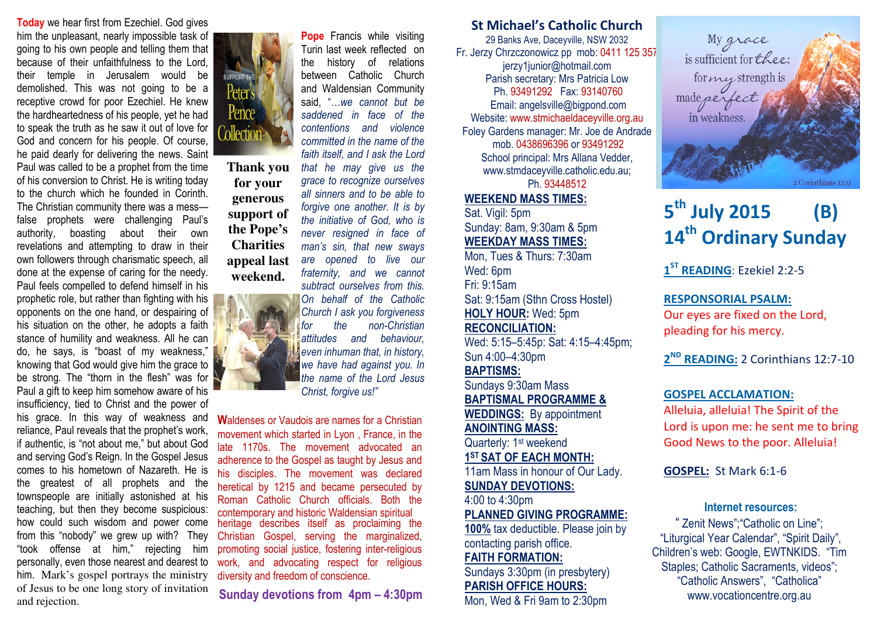**Today** we hear first from Ezechiel. God gives him the unpleasant, nearly impossible task of going to his own people and telling them that because of their unfaithfulness to the Lord, their temple in Jerusalem would be demolished. This was not going to be a receptive crowd for poor Ezechiel. He knew the hardheartedness of his people, yet he had to speak the truth as he saw it out of love for God and concern for his people. Of course, he paid dearly for delivering the news. Saint Paul was called to be a prophet from the time of his conversion to Christ. He is writing today to the church which he founded in Corinth. The Christian community there was a mess false prophets were challenging Paul's authority, boasting about their own revelations and attempting to draw in their own followers through charismatic speech, all done at the expense of caring for the needy. Paul feels compelled to defend himself in his prophetic role, but rather than fighting with his opponents on the one hand, or despairing of his situation on the other, he adopts a faith stance of humility and weakness. All he can do, he says, is "boast of my weakness," knowing that God would give him the grace to be strong. The "thorn in the flesh" was for Paul a gift to keep him somehow aware of his insufficiency, tied to Christ and the power of his grace. In this way of weakness and reliance, Paul reveals that the prophet's work, if authentic, is "not about me," but about God and serving God's Reign. In the Gospel Jesus comes to his hometown of Nazareth. He is the greatest of all prophets and the townspeople are initially astonished at his teaching, but then they become suspicious: how could such wisdom and power come from this "nobody" we grew up with? They "took offense at him," rejecting him personally, even those nearest and dearest to him. Mark's gospel portrays the ministry of Jesus to be one long story of invitation and rejection.



**Thank you for your generous support of the Pope's Charities appeal last weekend.** 



 committed in the name of the faith itself, and I ask the Lord that he may give us the grace to recognize ourselves all sinners and to be able to forgive one another. It is by the initiative of God, who is never resigned in face of man's sin, that new sways are opened to live our fraternity, and we cannot subtract ourselves from this. On behalf of the Catholic Church I ask you forgiveness for the non-Christian attitudes and behaviour, even inhuman that, in history, we have had against you. In

the name of the Lord Jesus

Christ, forgive us!"

Waldenses or Vaudois are names for a Christian movement which started in Lyon , France, in the late 1170s. The movement advocated an adherence to the Gospel as taught by Jesus and his disciples. The movement was declared heretical by 1215 and became persecuted by Roman Catholic Church officials. Both the contemporary and historic Waldensian spiritual contemporary and historic Waldensian spiritual<br>heritage describes itself as proclaiming the Christian Gospel, serving the marginalized, promoting social justice, fostering inter-religiouswork, and advocating respect for religious

diversity and freedom of conscience.

Sunday devotions from 4pm – 4:30pm

**Pope** Francis while visiting Turin last week reflected on the history of relations between Catholic Church and Waldensian Community said, "…we cannot but be saddened in face of the contentions and violence St Michael's Catholic Church

29 Banks Ave, Daceyville, NSW 2032 Fr. Jerzy Chrzczonowicz pp mob: 0411 125 357jerzy1junior@hotmail.com Parish secretary: Mrs Patricia Low Ph. 93491292 Fax: 93140760 Email: angelsville@bigpond.com Website: www.stmichaeldaceyville.org.au Foley Gardens manager: Mr. Joe de Andrade mob. 0438696396 or 93491292 School principal: Mrs Allana Vedder, www.stmdaceyville.catholic.edu.au; Ph. 93448512

## WEEKEND MASS TIMES:

Sat. Vigil: 5pm Sunday: 8am, 9:30am & 5pm WEEKDAY MASS TIMES:

 Mon, Tues & Thurs: 7:30am Wed: 6pm Fri: 9:15am Sat: 9:15am (Sthn Cross Hostel) HOLY HOUR: Wed: 5pm RECONCILIATION: Wed: 5:15–5:45p: Sat: 4:15–4:45pm; Sun 4:00–4:30pm

BAPTISMS:

 Sundays 9:30am Mass BAPTISMAL PROGRAMME & WEDDINGS: By appointment ANOINTING MASS:

Quarterly: 1<sup>st</sup> weekend 1ST SAT OF EACH MONTH:

 11am Mass in honour of Our Lady. SUNDAY DEVOTIONS:

4:00 to 4:30pm

PLANNED GIVING PROGRAMME:

100% tax deductible. Please join by contacting parish office.

# FAITH FORMATION:

 Sundays 3:30pm (in presbytery) PARISH OFFICE HOURS:

Mon, Wed & Fri 9am to 2:30pm



# $5^{\text{th}}$  July 2015 (B) 14<sup>th</sup> Ordinary Sunday

1<sup>ST</sup> READING: Ezekiel 2:2-5

RESPONSORIAL PSALM: Our eyes are fixed on the Lord, pleading for his mercy.

2<sup>ND</sup> READING: 2 Corinthians 12:7-10

#### GOSPEL ACCLAMATION:

Alleluia, alleluia! The Spirit of the Lord is upon me: he sent me to bring Good News to the poor. Alleluia!

GOSPEL: St Mark 6:1-6

#### Internet resources:

" Zenit News";"Catholic on Line"; "Liturgical Year Calendar", "Spirit Daily", Children's web: Google, EWTNKIDS. "Tim Staples; Catholic Sacraments, videos"; "Catholic Answers", "Catholica" www.vocationcentre.org.au